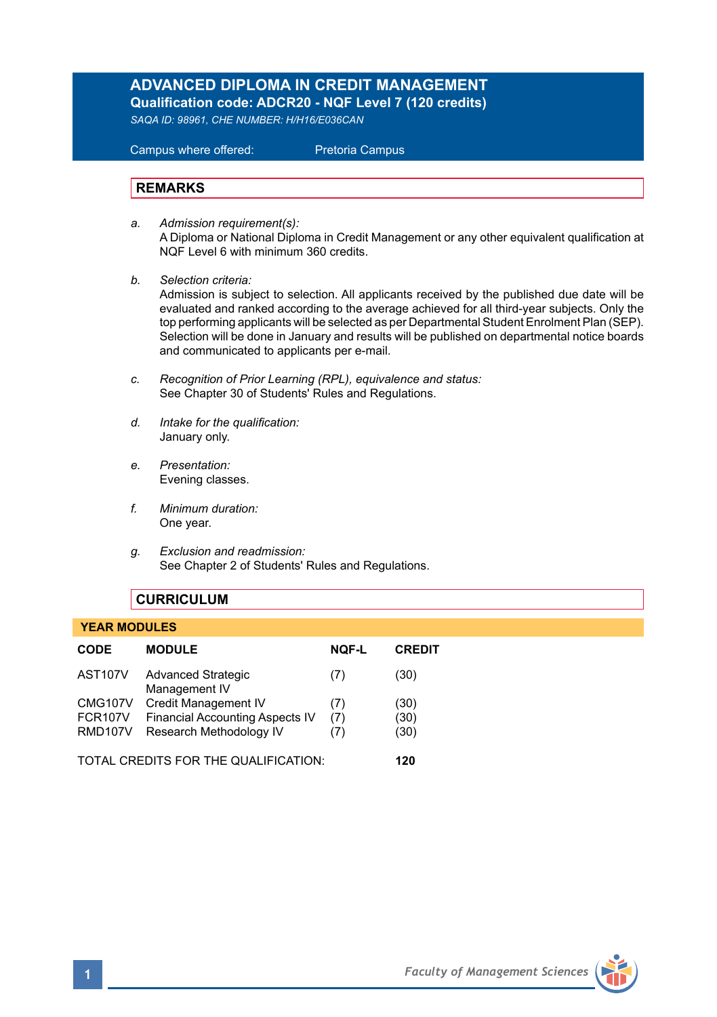# **ADVANCED DIPLOMA IN CREDIT MANAGEMENT**

**Qualification code: ADCR20 - NQF Level 7 (120 credits)** 

*SAQA ID: 98961, CHE NUMBER: H/H16/E036CAN* 

 Campus where offered: Pretoria Campus

#### **REMARKS**

- *a. Admission requirement(s):*  A Diploma or National Diploma in Credit Management or any other equivalent qualification at NQF Level 6 with minimum 360 credits.
- *b. Selection criteria:*

Admission is subject to selection. All applicants received by the published due date will be evaluated and ranked according to the average achieved for all third-year subjects. Only the top performing applicants will be selected as per Departmental Student Enrolment Plan (SEP). Selection will be done in January and results will be published on departmental notice boards and communicated to applicants per e-mail.

- *c. Recognition of Prior Learning (RPL), equivalence and status:* See Chapter 30 of Students' Rules and Regulations.
- *d. Intake for the qualification:* January only.
- *e. Presentation:* Evening classes.
- *f. Minimum duration:* One year.
- *g. Exclusion and readmission:* See Chapter 2 of Students' Rules and Regulations.

### **CURRICULUM**

#### **YEAR MODULES**

| <b>CODE</b>                          | <b>MODULE</b>                              | <b>NOF-L</b> | <b>CREDIT</b> |
|--------------------------------------|--------------------------------------------|--------------|---------------|
| AST <sub>107</sub> V                 | <b>Advanced Strategic</b><br>Management IV | (7)          | (30)          |
| <b>CMG107V</b>                       | Credit Management IV                       | (7)          | (30)          |
| <b>FCR107V</b>                       | <b>Financial Accounting Aspects IV</b>     | (7)          | (30)          |
| <b>RMD107V</b>                       | Research Methodology IV                    | (7)          | (30)          |
| TOTAL CREDITS FOR THE QUALIFICATION: |                                            |              | 120           |